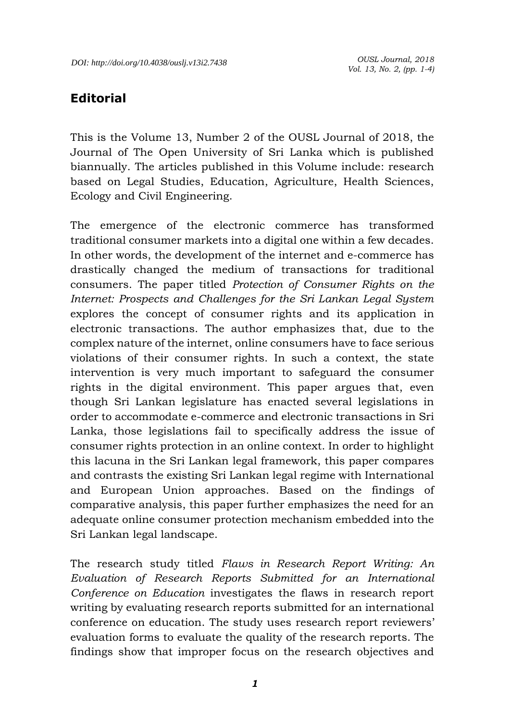## **Editorial**

This is the Volume 13, Number 2 of the OUSL Journal of 2018, the Journal of The Open University of Sri Lanka which is published biannually. The articles published in this Volume include: research based on Legal Studies, Education, Agriculture, Health Sciences, Ecology and Civil Engineering.

The emergence of the electronic commerce has transformed traditional consumer markets into a digital one within a few decades. In other words, the development of the internet and e-commerce has drastically changed the medium of transactions for traditional consumers. The paper titled *Protection of Consumer Rights on the Internet: Prospects and Challenges for the Sri Lankan Legal System* explores the concept of consumer rights and its application in electronic transactions. The author emphasizes that, due to the complex nature of the internet, online consumers have to face serious violations of their consumer rights. In such a context, the state intervention is very much important to safeguard the consumer rights in the digital environment. This paper argues that, even though Sri Lankan legislature has enacted several legislations in order to accommodate e-commerce and electronic transactions in Sri Lanka, those legislations fail to specifically address the issue of consumer rights protection in an online context. In order to highlight this lacuna in the Sri Lankan legal framework, this paper compares and contrasts the existing Sri Lankan legal regime with International and European Union approaches. Based on the findings of comparative analysis, this paper further emphasizes the need for an adequate online consumer protection mechanism embedded into the Sri Lankan legal landscape.

The research study titled *Flaws in Research Report Writing: An Evaluation of Research Reports Submitted for an International Conference on Education* investigates the flaws in research report writing by evaluating research reports submitted for an international conference on education. The study uses research report reviewers' evaluation forms to evaluate the quality of the research reports. The findings show that improper focus on the research objectives and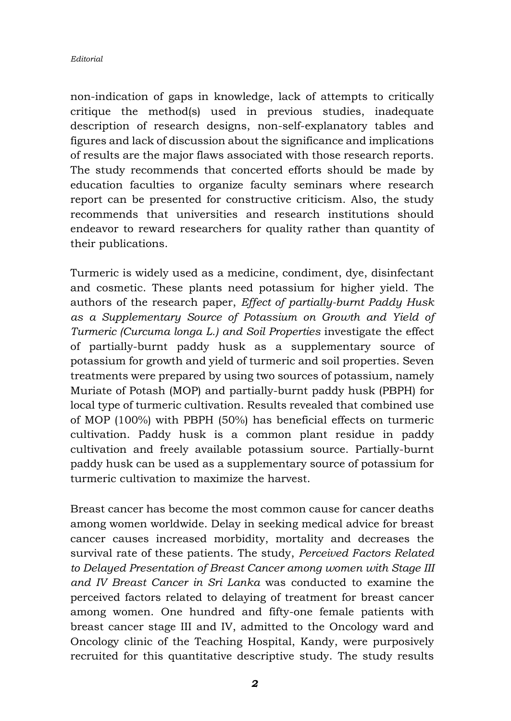## *Editorial*

non-indication of gaps in knowledge, lack of attempts to critically critique the method(s) used in previous studies, inadequate description of research designs, non-self-explanatory tables and figures and lack of discussion about the significance and implications of results are the major flaws associated with those research reports. The study recommends that concerted efforts should be made by education faculties to organize faculty seminars where research report can be presented for constructive criticism. Also, the study recommends that universities and research institutions should endeavor to reward researchers for quality rather than quantity of their publications.

Turmeric is widely used as a medicine, condiment, dye, disinfectant and cosmetic. These plants need potassium for higher yield. The authors of the research paper, *Effect of partially-burnt Paddy Husk as a Supplementary Source of Potassium on Growth and Yield of Turmeric (Curcuma longa L.) and Soil Properties* investigate the effect of partially-burnt paddy husk as a supplementary source of potassium for growth and yield of turmeric and soil properties. Seven treatments were prepared by using two sources of potassium, namely Muriate of Potash (MOP) and partially-burnt paddy husk (PBPH) for local type of turmeric cultivation. Results revealed that combined use of MOP (100%) with PBPH (50%) has beneficial effects on turmeric cultivation. Paddy husk is a common plant residue in paddy cultivation and freely available potassium source. Partially-burnt paddy husk can be used as a supplementary source of potassium for turmeric cultivation to maximize the harvest.

Breast cancer has become the most common cause for cancer deaths among women worldwide. Delay in seeking medical advice for breast cancer causes increased morbidity, mortality and decreases the survival rate of these patients. The study, *Perceived Factors Related to Delayed Presentation of Breast Cancer among women with Stage III and IV Breast Cancer in Sri Lanka* was conducted to examine the perceived factors related to delaying of treatment for breast cancer among women. One hundred and fifty-one female patients with breast cancer stage III and IV, admitted to the Oncology ward and Oncology clinic of the Teaching Hospital, Kandy, were purposively recruited for this quantitative descriptive study. The study results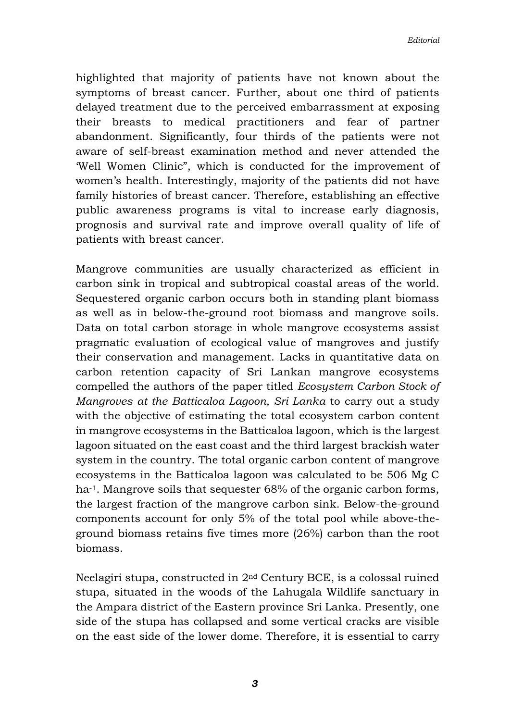highlighted that majority of patients have not known about the symptoms of breast cancer. Further, about one third of patients delayed treatment due to the perceived embarrassment at exposing their breasts to medical practitioners and fear of partner abandonment. Significantly, four thirds of the patients were not aware of self-breast examination method and never attended the 'Well Women Clinic", which is conducted for the improvement of women's health. Interestingly, majority of the patients did not have family histories of breast cancer. Therefore, establishing an effective public awareness programs is vital to increase early diagnosis, prognosis and survival rate and improve overall quality of life of patients with breast cancer.

Mangrove communities are usually characterized as efficient in carbon sink in tropical and subtropical coastal areas of the world. Sequestered organic carbon occurs both in standing plant biomass as well as in below-the-ground root biomass and mangrove soils. Data on total carbon storage in whole mangrove ecosystems assist pragmatic evaluation of ecological value of mangroves and justify their conservation and management. Lacks in quantitative data on carbon retention capacity of Sri Lankan mangrove ecosystems compelled the authors of the paper titled *Ecosystem Carbon Stock of Mangroves at the Batticaloa Lagoon, Sri Lanka* to carry out a study with the objective of estimating the total ecosystem carbon content in mangrove ecosystems in the Batticaloa lagoon, which is the largest lagoon situated on the east coast and the third largest brackish water system in the country. The total organic carbon content of mangrove ecosystems in the Batticaloa lagoon was calculated to be 506 Mg C ha<sup>-1</sup>. Mangrove soils that sequester 68% of the organic carbon forms, the largest fraction of the mangrove carbon sink. Below-the-ground components account for only 5% of the total pool while above-theground biomass retains five times more (26%) carbon than the root biomass.

Neelagiri stupa, constructed in 2nd Century BCE, is a colossal ruined stupa, situated in the woods of the Lahugala Wildlife sanctuary in the Ampara district of the Eastern province Sri Lanka. Presently, one side of the stupa has collapsed and some vertical cracks are visible on the east side of the lower dome. Therefore, it is essential to carry